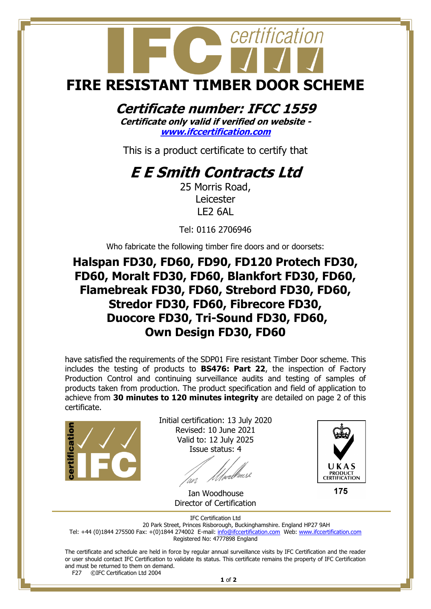# certification **FIRE RESISTANT TIMBER DOOR SCHEME**

### **Certificate number: IFCC 1559**

**Certificate only valid if verified on website [www.ifccertification.com](http://www.ifccertification.com/)**

This is a product certificate to certify that

## **E E Smith Contracts Ltd**

25 Morris Road, Leicester LE2 6AL

Tel: 0116 2706946

Who fabricate the following timber fire doors and or doorsets:

#### **Halspan FD30, FD60, FD90, FD120 Protech FD30, FD60, Moralt FD30, FD60, Blankfort FD30, FD60, Flamebreak FD30, FD60, Strebord FD30, FD60, Stredor FD30, FD60, Fibrecore FD30, Duocore FD30, Tri-Sound FD30, FD60, Own Design FD30, FD60**

have satisfied the requirements of the SDP01 Fire resistant Timber Door scheme. This includes the testing of products to **BS476: Part 22**, the inspection of Factory Production Control and continuing surveillance audits and testing of samples of products taken from production. The product specification and field of application to achieve from **30 minutes to 120 minutes integrity** are detailed on page 2 of this certificate.



Initial certification: 13 July 2020 Revised: 10 June 2021 Valid to: 12 July 2025 Issue status: 4



175

 Ian Woodhouse Director of Certification

IFC Certification Ltd

20 Park Street, Princes Risborough, Buckinghamshire. England HP27 9AH Tel: +44 (0)1844 275500 Fax: +(0)1844 274002 E-mail[: info@ifccertification.com](mailto:info@ifccertification.com) Web: [www.ifccertification.com](http://www.ifccertification.com/)

Registered No: 4777898 England

The certificate and schedule are held in force by regular annual surveillance visits by IFC Certification and the reader or user should contact IFC Certification to validate its status. This certificate remains the property of IFC Certification and must be returned to them on demand.<br>F27  $\odot$  FC Certification Ltd 2004

©IFC Certification Ltd 2004